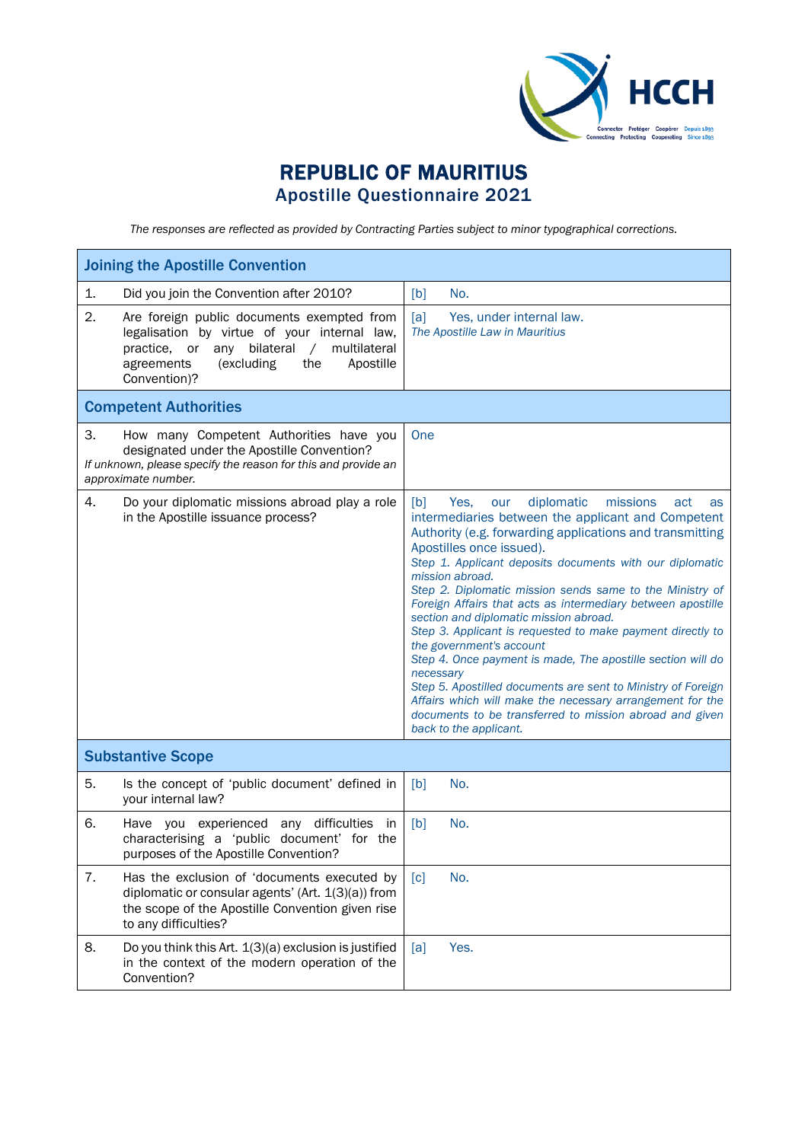

## REPUBLIC OF MAURITIUS Apostille Questionnaire 2021

*The responses are reflected as provided by Contracting Parties subject to minor typographical corrections.*

| <b>Joining the Apostille Convention</b>                                                                                                                                                                                            |                                                                                                                                                                                                                                                                                                                                                                                                                                                                                                                                                                                                                                                                                                                                                                                                                                                     |
|------------------------------------------------------------------------------------------------------------------------------------------------------------------------------------------------------------------------------------|-----------------------------------------------------------------------------------------------------------------------------------------------------------------------------------------------------------------------------------------------------------------------------------------------------------------------------------------------------------------------------------------------------------------------------------------------------------------------------------------------------------------------------------------------------------------------------------------------------------------------------------------------------------------------------------------------------------------------------------------------------------------------------------------------------------------------------------------------------|
| 1.<br>Did you join the Convention after 2010?                                                                                                                                                                                      | [b]<br>No.                                                                                                                                                                                                                                                                                                                                                                                                                                                                                                                                                                                                                                                                                                                                                                                                                                          |
| 2.<br>Are foreign public documents exempted from<br>legalisation by virtue of your internal law,<br>bilateral<br>multilateral<br>practice, or<br>any<br>$\sqrt{2}$<br>Apostille<br>agreements<br>(excluding<br>the<br>Convention)? | [a]<br>Yes, under internal law.<br>The Apostille Law in Mauritius                                                                                                                                                                                                                                                                                                                                                                                                                                                                                                                                                                                                                                                                                                                                                                                   |
| <b>Competent Authorities</b>                                                                                                                                                                                                       |                                                                                                                                                                                                                                                                                                                                                                                                                                                                                                                                                                                                                                                                                                                                                                                                                                                     |
| 3.<br>How many Competent Authorities have you<br>designated under the Apostille Convention?<br>If unknown, please specify the reason for this and provide an<br>approximate number.                                                | One                                                                                                                                                                                                                                                                                                                                                                                                                                                                                                                                                                                                                                                                                                                                                                                                                                                 |
| 4.<br>Do your diplomatic missions abroad play a role<br>in the Apostille issuance process?                                                                                                                                         | diplomatic<br>missions<br>[b]<br>Yes.<br>our<br>act<br>as<br>intermediaries between the applicant and Competent<br>Authority (e.g. forwarding applications and transmitting<br>Apostilles once issued).<br>Step 1. Applicant deposits documents with our diplomatic<br>mission abroad.<br>Step 2. Diplomatic mission sends same to the Ministry of<br>Foreign Affairs that acts as intermediary between apostille<br>section and diplomatic mission abroad.<br>Step 3. Applicant is requested to make payment directly to<br>the government's account<br>Step 4. Once payment is made, The apostille section will do<br>necessary<br>Step 5. Apostilled documents are sent to Ministry of Foreign<br>Affairs which will make the necessary arrangement for the<br>documents to be transferred to mission abroad and given<br>back to the applicant. |
| <b>Substantive Scope</b>                                                                                                                                                                                                           |                                                                                                                                                                                                                                                                                                                                                                                                                                                                                                                                                                                                                                                                                                                                                                                                                                                     |
| 5.<br>Is the concept of 'public document' defined in<br>your internal law?                                                                                                                                                         | [b]<br>No.                                                                                                                                                                                                                                                                                                                                                                                                                                                                                                                                                                                                                                                                                                                                                                                                                                          |
| 6.<br>Have you experienced any difficulties in<br>characterising a 'public document' for the<br>purposes of the Apostille Convention?                                                                                              | [b]<br>No.                                                                                                                                                                                                                                                                                                                                                                                                                                                                                                                                                                                                                                                                                                                                                                                                                                          |
| 7.<br>Has the exclusion of 'documents executed by<br>diplomatic or consular agents' (Art. $1(3)(a)$ ) from<br>the scope of the Apostille Convention given rise<br>to any difficulties?                                             | No.<br>$\lceil c \rceil$                                                                                                                                                                                                                                                                                                                                                                                                                                                                                                                                                                                                                                                                                                                                                                                                                            |
| 8.<br>Do you think this Art. 1(3)(a) exclusion is justified<br>in the context of the modern operation of the<br>Convention?                                                                                                        | Yes.<br>[a]                                                                                                                                                                                                                                                                                                                                                                                                                                                                                                                                                                                                                                                                                                                                                                                                                                         |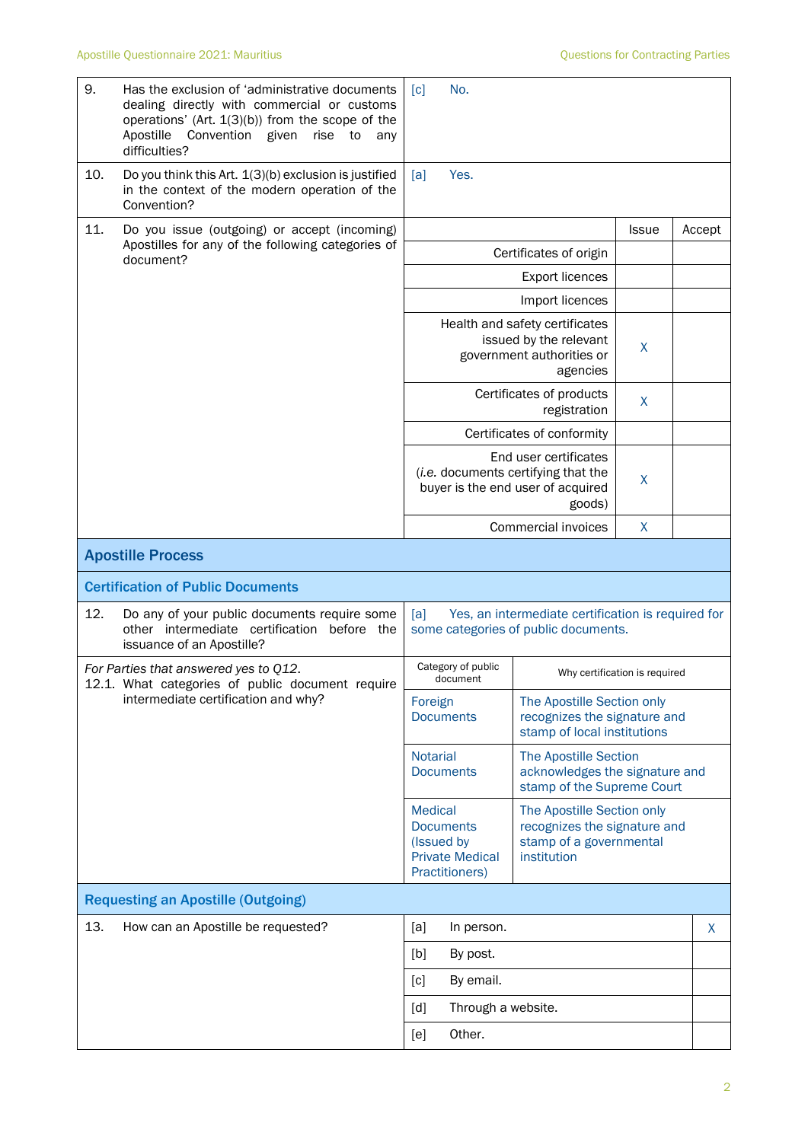| 9.  | Has the exclusion of 'administrative documents<br>dealing directly with commercial or customs<br>operations' (Art. $1(3)(b)$ ) from the scope of the<br>Convention given<br>Apostille<br>rise<br>to<br>any<br>difficulties? | No.<br>$\lceil c \rceil$                                                                                                            |                                                                                                      |                               |        |
|-----|-----------------------------------------------------------------------------------------------------------------------------------------------------------------------------------------------------------------------------|-------------------------------------------------------------------------------------------------------------------------------------|------------------------------------------------------------------------------------------------------|-------------------------------|--------|
| 10. | Do you think this Art. 1(3)(b) exclusion is justified<br>in the context of the modern operation of the<br>Convention?                                                                                                       | Yes.<br>[a]                                                                                                                         |                                                                                                      |                               |        |
| 11. | Do you issue (outgoing) or accept (incoming)<br>Apostilles for any of the following categories of<br>document?                                                                                                              |                                                                                                                                     |                                                                                                      | <b>Issue</b>                  | Accept |
|     |                                                                                                                                                                                                                             | Certificates of origin                                                                                                              |                                                                                                      |                               |        |
|     |                                                                                                                                                                                                                             |                                                                                                                                     |                                                                                                      |                               |        |
|     |                                                                                                                                                                                                                             |                                                                                                                                     | Import licences                                                                                      |                               |        |
|     |                                                                                                                                                                                                                             |                                                                                                                                     | Health and safety certificates<br>issued by the relevant<br>government authorities or<br>agencies    | X                             |        |
|     |                                                                                                                                                                                                                             |                                                                                                                                     | Certificates of products<br>registration                                                             | X                             |        |
|     |                                                                                                                                                                                                                             |                                                                                                                                     | Certificates of conformity                                                                           |                               |        |
|     |                                                                                                                                                                                                                             | End user certificates<br>(i.e. documents certifying that the<br>buyer is the end user of acquired                                   | X                                                                                                    |                               |        |
|     |                                                                                                                                                                                                                             |                                                                                                                                     | Commercial invoices                                                                                  | X                             |        |
|     | <b>Apostille Process</b>                                                                                                                                                                                                    |                                                                                                                                     |                                                                                                      |                               |        |
|     | <b>Certification of Public Documents</b>                                                                                                                                                                                    |                                                                                                                                     |                                                                                                      |                               |        |
| 12. | Do any of your public documents require some<br>other intermediate certification before the<br>issuance of an Apostille?                                                                                                    | [a]                                                                                                                                 | Yes, an intermediate certification is required for<br>some categories of public documents.           |                               |        |
|     | For Parties that answered yes to Q12.<br>12.1. What categories of public document require                                                                                                                                   | Category of public<br>document                                                                                                      |                                                                                                      | Why certification is required |        |
|     | intermediate certification and why?                                                                                                                                                                                         | Foreign<br><b>Documents</b>                                                                                                         | The Apostille Section only<br>recognizes the signature and<br>stamp of local institutions            |                               |        |
|     |                                                                                                                                                                                                                             | <b>Notarial</b><br><b>The Apostille Section</b><br>acknowledges the signature and<br><b>Documents</b><br>stamp of the Supreme Court |                                                                                                      |                               |        |
|     |                                                                                                                                                                                                                             | <b>Medical</b><br><b>Documents</b><br>(Issued by<br><b>Private Medical</b><br>Practitioners)                                        | The Apostille Section only<br>recognizes the signature and<br>stamp of a governmental<br>institution |                               |        |
|     | <b>Requesting an Apostille (Outgoing)</b>                                                                                                                                                                                   |                                                                                                                                     |                                                                                                      |                               |        |
| 13. | How can an Apostille be requested?                                                                                                                                                                                          | [a]<br>In person.                                                                                                                   |                                                                                                      |                               | X      |
|     |                                                                                                                                                                                                                             | [b]<br>By post.                                                                                                                     |                                                                                                      |                               |        |
|     |                                                                                                                                                                                                                             | [c]<br>By email.                                                                                                                    |                                                                                                      |                               |        |
|     |                                                                                                                                                                                                                             | Through a website.<br>[d]                                                                                                           |                                                                                                      |                               |        |
|     |                                                                                                                                                                                                                             | Other.<br>[e]                                                                                                                       |                                                                                                      |                               |        |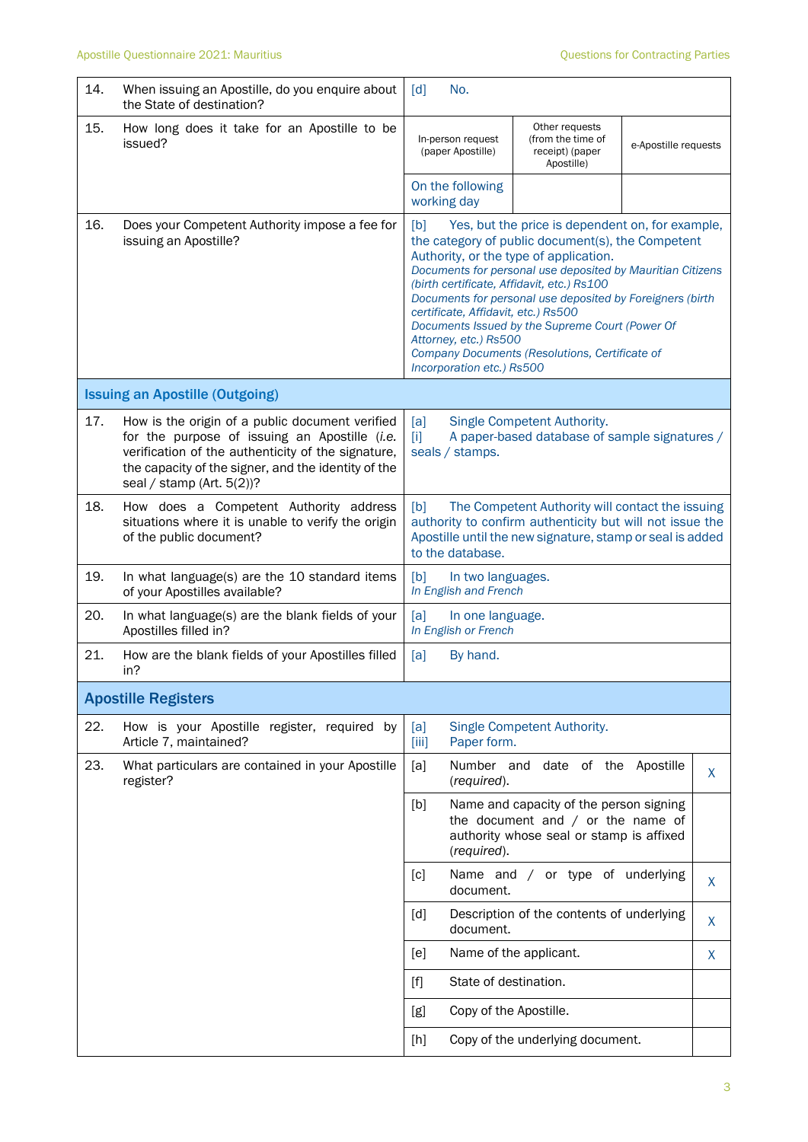| 14. | When issuing an Apostille, do you enquire about<br>the State of destination?                                                                                                                                                                  | $\lceil d \rceil$<br>No.                                                                                                                                                                                                                                                                                                                                                                                                                                                                                                          |                                                                                                                            |                      |   |
|-----|-----------------------------------------------------------------------------------------------------------------------------------------------------------------------------------------------------------------------------------------------|-----------------------------------------------------------------------------------------------------------------------------------------------------------------------------------------------------------------------------------------------------------------------------------------------------------------------------------------------------------------------------------------------------------------------------------------------------------------------------------------------------------------------------------|----------------------------------------------------------------------------------------------------------------------------|----------------------|---|
| 15. | How long does it take for an Apostille to be<br>issued?                                                                                                                                                                                       | In-person request<br>(paper Apostille)                                                                                                                                                                                                                                                                                                                                                                                                                                                                                            | Other requests<br>(from the time of<br>receipt) (paper<br>Apostille)                                                       | e-Apostille requests |   |
|     |                                                                                                                                                                                                                                               | On the following<br>working day                                                                                                                                                                                                                                                                                                                                                                                                                                                                                                   |                                                                                                                            |                      |   |
| 16. | Does your Competent Authority impose a fee for<br>issuing an Apostille?                                                                                                                                                                       | Yes, but the price is dependent on, for example,<br>[b]<br>the category of public document(s), the Competent<br>Authority, or the type of application.<br>Documents for personal use deposited by Mauritian Citizens<br>(birth certificate, Affidavit, etc.) Rs100<br>Documents for personal use deposited by Foreigners (birth<br>certificate, Affidavit, etc.) Rs500<br>Documents Issued by the Supreme Court (Power Of<br>Attorney, etc.) Rs500<br>Company Documents (Resolutions, Certificate of<br>Incorporation etc.) Rs500 |                                                                                                                            |                      |   |
|     | <b>Issuing an Apostille (Outgoing)</b>                                                                                                                                                                                                        |                                                                                                                                                                                                                                                                                                                                                                                                                                                                                                                                   |                                                                                                                            |                      |   |
| 17. | How is the origin of a public document verified<br>for the purpose of issuing an Apostille (i.e.<br>verification of the authenticity of the signature,<br>the capacity of the signer, and the identity of the<br>seal / stamp (Art. $5(2)$ )? | [a]<br>Τij<br>seals / stamps.                                                                                                                                                                                                                                                                                                                                                                                                                                                                                                     | Single Competent Authority.<br>A paper-based database of sample signatures /                                               |                      |   |
| 18. | How does a Competent Authority address<br>situations where it is unable to verify the origin<br>of the public document?                                                                                                                       | The Competent Authority will contact the issuing<br>[b]<br>authority to confirm authenticity but will not issue the<br>Apostille until the new signature, stamp or seal is added<br>to the database.                                                                                                                                                                                                                                                                                                                              |                                                                                                                            |                      |   |
| 19. | In what language(s) are the 10 standard items<br>of your Apostilles available?                                                                                                                                                                | [b]<br>In two languages.<br>In English and French                                                                                                                                                                                                                                                                                                                                                                                                                                                                                 |                                                                                                                            |                      |   |
| 20. | In what language(s) are the blank fields of your<br>Apostilles filled in?                                                                                                                                                                     | [a]<br>In one language.<br>In English or French                                                                                                                                                                                                                                                                                                                                                                                                                                                                                   |                                                                                                                            |                      |   |
| 21. | How are the blank fields of your Apostilles filled<br>in?                                                                                                                                                                                     | [a]<br>By hand.                                                                                                                                                                                                                                                                                                                                                                                                                                                                                                                   |                                                                                                                            |                      |   |
|     | <b>Apostille Registers</b>                                                                                                                                                                                                                    |                                                                                                                                                                                                                                                                                                                                                                                                                                                                                                                                   |                                                                                                                            |                      |   |
| 22. | How is your Apostille register, required by<br>Article 7, maintained?                                                                                                                                                                         | [a]<br>Paper form.<br>[iii]                                                                                                                                                                                                                                                                                                                                                                                                                                                                                                       | Single Competent Authority.                                                                                                |                      |   |
| 23. | What particulars are contained in your Apostille<br>register?                                                                                                                                                                                 | [a]<br>(required).                                                                                                                                                                                                                                                                                                                                                                                                                                                                                                                | Number and date of the Apostille                                                                                           |                      | X |
|     |                                                                                                                                                                                                                                               | [b]<br>(required).                                                                                                                                                                                                                                                                                                                                                                                                                                                                                                                | Name and capacity of the person signing<br>the document and $/$ or the name of<br>authority whose seal or stamp is affixed |                      |   |
|     |                                                                                                                                                                                                                                               | [c]<br>document.                                                                                                                                                                                                                                                                                                                                                                                                                                                                                                                  | Name and / or type of underlying                                                                                           |                      | X |
|     |                                                                                                                                                                                                                                               | [d]<br>document.                                                                                                                                                                                                                                                                                                                                                                                                                                                                                                                  | Description of the contents of underlying                                                                                  |                      | X |
|     |                                                                                                                                                                                                                                               | [e]                                                                                                                                                                                                                                                                                                                                                                                                                                                                                                                               | Name of the applicant.                                                                                                     |                      | X |
|     |                                                                                                                                                                                                                                               | $[f] % \begin{center} % \includegraphics[width=\linewidth]{imagesSupplemental_3.png} % \end{center} % \caption { % Our method can be used for the use of the image. % Note that the \emph{Left:} \label{fig:case} \vspace{-1em} % \label{fig:case} %$                                                                                                                                                                                                                                                                             | State of destination.                                                                                                      |                      |   |
|     |                                                                                                                                                                                                                                               | [g]                                                                                                                                                                                                                                                                                                                                                                                                                                                                                                                               | Copy of the Apostille.                                                                                                     |                      |   |
|     |                                                                                                                                                                                                                                               | [h]                                                                                                                                                                                                                                                                                                                                                                                                                                                                                                                               | Copy of the underlying document.                                                                                           |                      |   |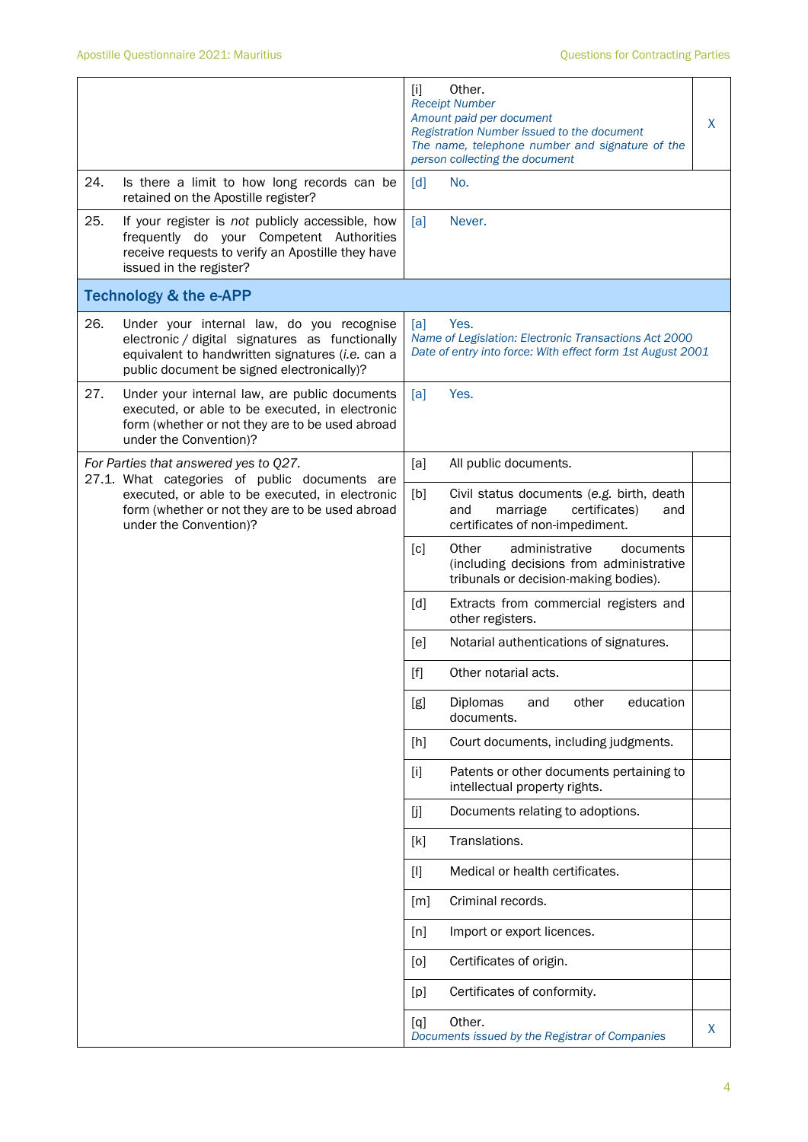|     |                                                                                                                                                                                                | $[1]$ | Other.<br><b>Receipt Number</b><br>Amount paid per document<br>Registration Number issued to the document<br>The name, telephone number and signature of the<br>person collecting the document | X |
|-----|------------------------------------------------------------------------------------------------------------------------------------------------------------------------------------------------|-------|------------------------------------------------------------------------------------------------------------------------------------------------------------------------------------------------|---|
| 24. | Is there a limit to how long records can be<br>retained on the Apostille register?                                                                                                             | [d]   | No.                                                                                                                                                                                            |   |
| 25. | If your register is not publicly accessible, how<br>frequently do your Competent Authorities<br>receive requests to verify an Apostille they have<br>issued in the register?                   | [a]   | Never.                                                                                                                                                                                         |   |
|     | <b>Technology &amp; the e-APP</b>                                                                                                                                                              |       |                                                                                                                                                                                                |   |
| 26. | Under your internal law, do you recognise<br>electronic / digital signatures as functionally<br>equivalent to handwritten signatures (i.e. can a<br>public document be signed electronically)? | [a]   | Yes.<br>Name of Legislation: Electronic Transactions Act 2000<br>Date of entry into force: With effect form 1st August 2001                                                                    |   |
| 27. | Under your internal law, are public documents<br>executed, or able to be executed, in electronic<br>form (whether or not they are to be used abroad<br>under the Convention)?                  | [a]   | Yes.                                                                                                                                                                                           |   |
|     | For Parties that answered yes to Q27.                                                                                                                                                          | [a]   | All public documents.                                                                                                                                                                          |   |
|     | 27.1. What categories of public documents are<br>executed, or able to be executed, in electronic<br>form (whether or not they are to be used abroad<br>under the Convention)?                  | [b]   | Civil status documents (e.g. birth, death<br>marriage<br>certificates)<br>and<br>and<br>certificates of non-impediment.                                                                        |   |
|     |                                                                                                                                                                                                | [c]   | Other<br>administrative<br>documents<br>(including decisions from administrative<br>tribunals or decision-making bodies).                                                                      |   |
|     |                                                                                                                                                                                                | [d]   | Extracts from commercial registers and<br>other registers.                                                                                                                                     |   |
|     |                                                                                                                                                                                                | [e]   | Notarial authentications of signatures.                                                                                                                                                        |   |
|     |                                                                                                                                                                                                | $[f]$ | Other notarial acts.                                                                                                                                                                           |   |
|     |                                                                                                                                                                                                | [g]   | Diplomas<br>education<br>other<br>and<br>documents.                                                                                                                                            |   |
|     |                                                                                                                                                                                                | [h]   | Court documents, including judgments.                                                                                                                                                          |   |
|     |                                                                                                                                                                                                | $[1]$ | Patents or other documents pertaining to<br>intellectual property rights.                                                                                                                      |   |
|     |                                                                                                                                                                                                | [j]   | Documents relating to adoptions.                                                                                                                                                               |   |
|     |                                                                                                                                                                                                | [k]   | Translations.                                                                                                                                                                                  |   |
|     |                                                                                                                                                                                                | $[1]$ | Medical or health certificates.                                                                                                                                                                |   |
|     |                                                                                                                                                                                                | [m]   | Criminal records.                                                                                                                                                                              |   |
|     |                                                                                                                                                                                                | [n]   | Import or export licences.                                                                                                                                                                     |   |
|     |                                                                                                                                                                                                | [0]   | Certificates of origin.                                                                                                                                                                        |   |
|     |                                                                                                                                                                                                | [p]   | Certificates of conformity.                                                                                                                                                                    |   |
|     |                                                                                                                                                                                                | [q]   | Other.<br>Documents issued by the Registrar of Companies                                                                                                                                       | X |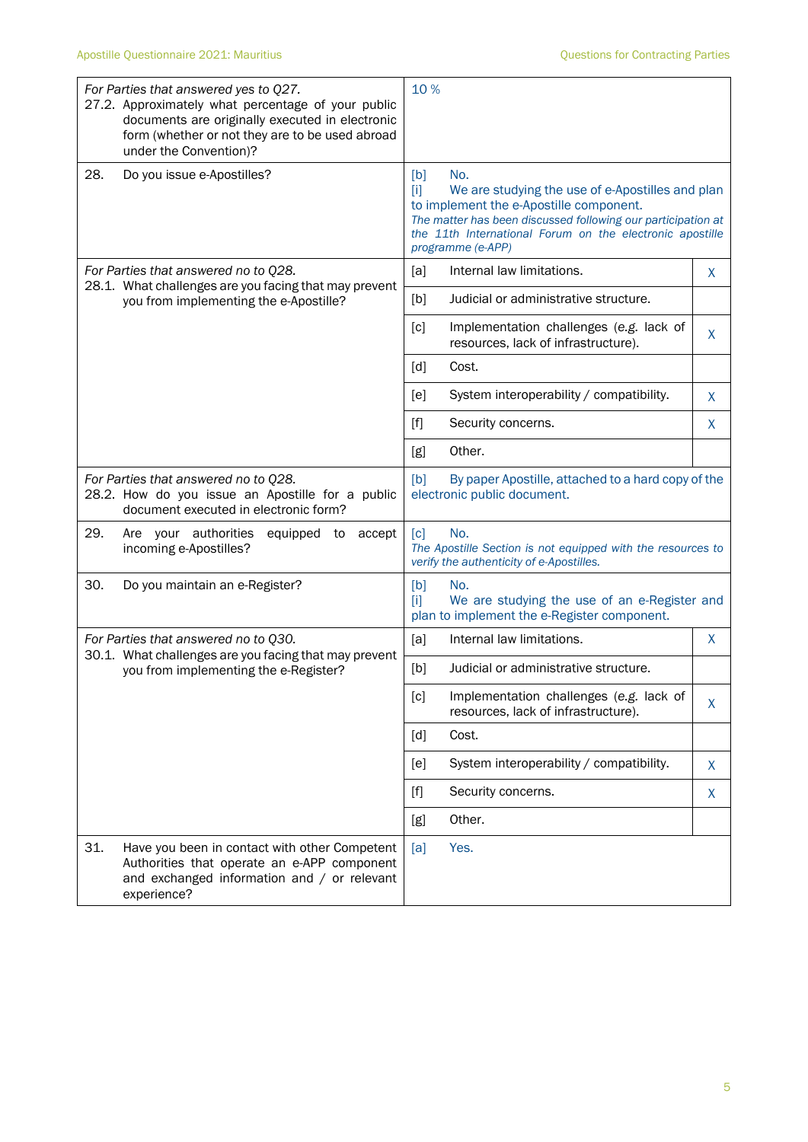|                                                                                                                                   | For Parties that answered yes to Q27.<br>27.2. Approximately what percentage of your public<br>documents are originally executed in electronic<br>form (whether or not they are to be used abroad<br>under the Convention)? | 10%                                                                                                                                 |                                                                                                                                                                                                                                                     |    |
|-----------------------------------------------------------------------------------------------------------------------------------|-----------------------------------------------------------------------------------------------------------------------------------------------------------------------------------------------------------------------------|-------------------------------------------------------------------------------------------------------------------------------------|-----------------------------------------------------------------------------------------------------------------------------------------------------------------------------------------------------------------------------------------------------|----|
| 28.                                                                                                                               | Do you issue e-Apostilles?                                                                                                                                                                                                  | [b]<br>$[1]$                                                                                                                        | No.<br>We are studying the use of e-Apostilles and plan<br>to implement the e-Apostille component.<br>The matter has been discussed following our participation at<br>the 11th International Forum on the electronic apostille<br>programme (e-APP) |    |
|                                                                                                                                   | For Parties that answered no to Q28.                                                                                                                                                                                        | [a]                                                                                                                                 | Internal law limitations.                                                                                                                                                                                                                           | X  |
|                                                                                                                                   | 28.1. What challenges are you facing that may prevent<br>you from implementing the e-Apostille?                                                                                                                             | [b]                                                                                                                                 | Judicial or administrative structure.                                                                                                                                                                                                               |    |
|                                                                                                                                   |                                                                                                                                                                                                                             | [c]                                                                                                                                 | Implementation challenges (e.g. lack of<br>resources, lack of infrastructure).                                                                                                                                                                      | X  |
|                                                                                                                                   |                                                                                                                                                                                                                             | [d]                                                                                                                                 | Cost.                                                                                                                                                                                                                                               |    |
|                                                                                                                                   |                                                                                                                                                                                                                             | [ <sub>e</sub> ]                                                                                                                    | System interoperability / compatibility.                                                                                                                                                                                                            | X  |
|                                                                                                                                   |                                                                                                                                                                                                                             | $[f]$                                                                                                                               | Security concerns.                                                                                                                                                                                                                                  | X  |
|                                                                                                                                   |                                                                                                                                                                                                                             | [g]                                                                                                                                 | Other.                                                                                                                                                                                                                                              |    |
| For Parties that answered no to Q28.<br>28.2. How do you issue an Apostille for a public<br>document executed in electronic form? |                                                                                                                                                                                                                             | [b]<br>By paper Apostille, attached to a hard copy of the<br>electronic public document.                                            |                                                                                                                                                                                                                                                     |    |
| 29.                                                                                                                               | Are your authorities<br>equipped to<br>accept<br>incoming e-Apostilles?                                                                                                                                                     | No.<br>$\lceil c \rceil$<br>The Apostille Section is not equipped with the resources to<br>verify the authenticity of e-Apostilles. |                                                                                                                                                                                                                                                     |    |
| 30.                                                                                                                               | Do you maintain an e-Register?                                                                                                                                                                                              | [b]<br>ТiТ                                                                                                                          | No.<br>We are studying the use of an e-Register and<br>plan to implement the e-Register component.                                                                                                                                                  |    |
|                                                                                                                                   | For Parties that answered no to Q30.                                                                                                                                                                                        | [a]                                                                                                                                 | Internal law limitations.                                                                                                                                                                                                                           | X  |
|                                                                                                                                   | 30.1. What challenges are you facing that may prevent<br>you from implementing the e-Register?                                                                                                                              | [b]                                                                                                                                 | Judicial or administrative structure.                                                                                                                                                                                                               |    |
|                                                                                                                                   |                                                                                                                                                                                                                             | [c]                                                                                                                                 | Implementation challenges (e.g. lack of<br>resources, lack of infrastructure).                                                                                                                                                                      | X. |
|                                                                                                                                   |                                                                                                                                                                                                                             | [d]                                                                                                                                 | Cost.                                                                                                                                                                                                                                               |    |
|                                                                                                                                   |                                                                                                                                                                                                                             | [e]                                                                                                                                 | System interoperability / compatibility.                                                                                                                                                                                                            | X  |
|                                                                                                                                   |                                                                                                                                                                                                                             | $[f]$                                                                                                                               | Security concerns.                                                                                                                                                                                                                                  | X  |
|                                                                                                                                   |                                                                                                                                                                                                                             | [g]                                                                                                                                 | Other.                                                                                                                                                                                                                                              |    |
| 31.                                                                                                                               | Have you been in contact with other Competent<br>Authorities that operate an e-APP component<br>and exchanged information and / or relevant<br>experience?                                                                  | [a]                                                                                                                                 | Yes.                                                                                                                                                                                                                                                |    |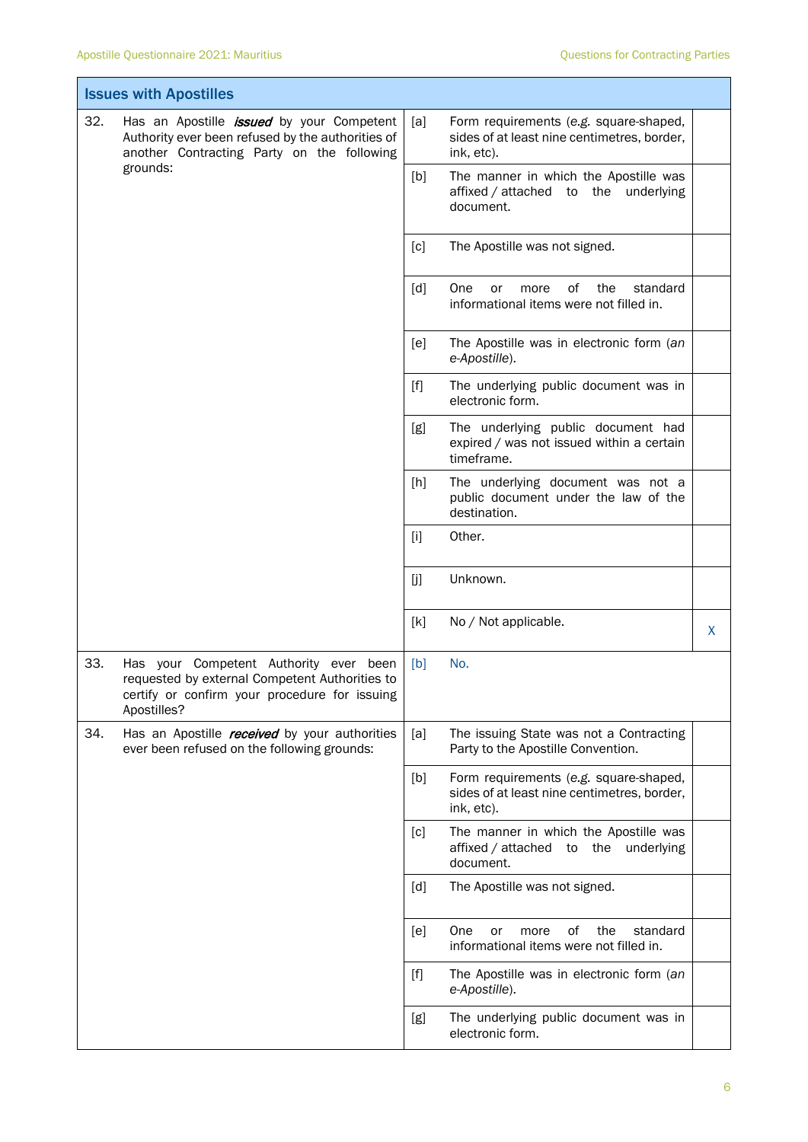$\overline{\phantom{a}}$ 

Ī

| <b>Issues with Apostilles</b> |                                                                                                                                                          |       |                                                                                                     |   |  |
|-------------------------------|----------------------------------------------------------------------------------------------------------------------------------------------------------|-------|-----------------------------------------------------------------------------------------------------|---|--|
| 32.                           | Has an Apostille <i>issued</i> by your Competent<br>Authority ever been refused by the authorities of<br>another Contracting Party on the following      | [a]   | Form requirements (e.g. square-shaped,<br>sides of at least nine centimetres, border,<br>ink, etc). |   |  |
|                               | grounds:                                                                                                                                                 | [b]   | The manner in which the Apostille was<br>affixed / attached to the underlying<br>document.          |   |  |
|                               |                                                                                                                                                          | [c]   | The Apostille was not signed.                                                                       |   |  |
|                               |                                                                                                                                                          | [d]   | of<br>the<br>standard<br>One<br>or<br>more<br>informational items were not filled in.               |   |  |
|                               |                                                                                                                                                          | [e]   | The Apostille was in electronic form (an<br>e-Apostille).                                           |   |  |
|                               |                                                                                                                                                          | [f]   | The underlying public document was in<br>electronic form.                                           |   |  |
|                               |                                                                                                                                                          | [g]   | The underlying public document had<br>expired / was not issued within a certain<br>timeframe.       |   |  |
|                               |                                                                                                                                                          | [h]   | The underlying document was not a<br>public document under the law of the<br>destination.           |   |  |
|                               |                                                                                                                                                          | $[1]$ | Other.                                                                                              |   |  |
|                               |                                                                                                                                                          | [j]   | Unknown.                                                                                            |   |  |
|                               |                                                                                                                                                          | [k]   | No / Not applicable.                                                                                | X |  |
| 33.                           | Has your Competent Authority ever been<br>requested by external Competent Authorities to<br>certify or confirm your procedure for issuing<br>Apostilles? | [b]   | No.                                                                                                 |   |  |
| 34.                           | Has an Apostille received by your authorities<br>ever been refused on the following grounds:                                                             | [a]   | The issuing State was not a Contracting<br>Party to the Apostille Convention.                       |   |  |
|                               |                                                                                                                                                          | [b]   | Form requirements (e.g. square-shaped,<br>sides of at least nine centimetres, border,<br>ink, etc). |   |  |
|                               |                                                                                                                                                          | [c]   | The manner in which the Apostille was<br>affixed / attached to<br>underlying<br>the<br>document.    |   |  |
|                               |                                                                                                                                                          | [d]   | The Apostille was not signed.                                                                       |   |  |
|                               |                                                                                                                                                          | [e]   | of<br>One<br>the<br>standard<br>or<br>more<br>informational items were not filled in.               |   |  |
|                               |                                                                                                                                                          | $[f]$ | The Apostille was in electronic form (an<br>e-Apostille).                                           |   |  |
|                               |                                                                                                                                                          | [g]   | The underlying public document was in<br>electronic form.                                           |   |  |